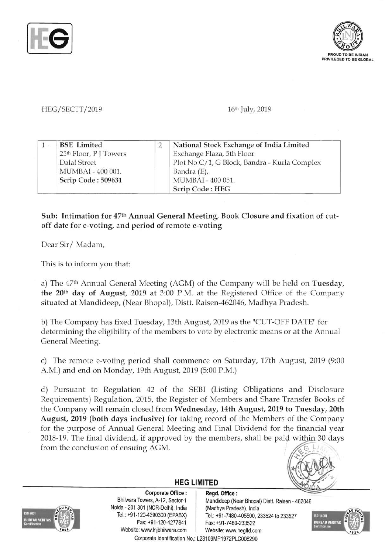



## *HEG/SECTT/2019* 16<sup>th</sup> July, 2019

|  | <b>BSE</b> Limited                 | National Stock Exchange of India Limited     |
|--|------------------------------------|----------------------------------------------|
|  | 25 <sup>th</sup> Floor, P J Towers | Exchange Plaza, 5th Floor                    |
|  | Dalal Street                       | Plot No.C/1, G Block, Bandra - Kurla Complex |
|  | MUMBAI - 400 001.                  | Bandra $(E)$ ,                               |
|  | Scrip Code: 509631                 | MUMBAI - 400 051.                            |
|  |                                    | Scrip Code: HEG                              |

## Sub: Intimation for 47th Annual General Meeting, Book Closure and fixation of cutoff date for e-voting, and period of remote e-voting

Dear Sir/Madam,

This is to inform you that:

a) The 47<sup>th</sup> Annual General Meeting (AGM) of the Company will be held on Tuesday, the 20th day of August, 2019 at 3:00 P.M. at the Registered Office of the Company situated at Mandideep, (Near Bhopal), Distt. Raisen-462046, Madhya Pradesh.

b) The Company has fixed Tuesday, 13th August, 2019 as the "CUT-OFF DATE" for determining the eligibility of the members to vote by electronic means or at the Annual General Meeting.

c) The remote e-voting period shall commence on Saturday, 17th August, 2019 (9:00 A.M.) and end on Monday, 19th August, 2019 (5:00 P.M.)

d) Pursuant to Regulation 42 of the SEBI (Listing Obligations and Disclosure Requirements) Regulation, 2015, the Register of Members and Share Transfer Books of the Company will remain closed from Wednesday, 14th August, 2019 to Tuesday, 20th August, 2019 (both days inclusive) for taking record of the Members of the Company for the purpose of Annual General Meeting and Final Dividend for the financial year 2018-19. The final dividend, if approved by the members, shall be paid within 30 days from the conclusion of ensuing AGM.





Corporate Office: | Regd. Office: Noida - 201 301 (NCR-Delhi), India (Madhya Pradesh), India Fax: +91-120-4277841 Fax: +91-7480-233522 Website: www.lnjbhilwara.com | Website: www.hegltd.com

Bhilwara Towers, A-12, Sector-1 | Mandideep (Near Bhopal) Distt. Raisen - 462046 Tel.: +91-120-4390300 (EPABX) Tel.: +91-7480-405500, 233524 to 233527



Corporate Identification No.: L23109MP1972PLC008290

**HEG LIMITED**